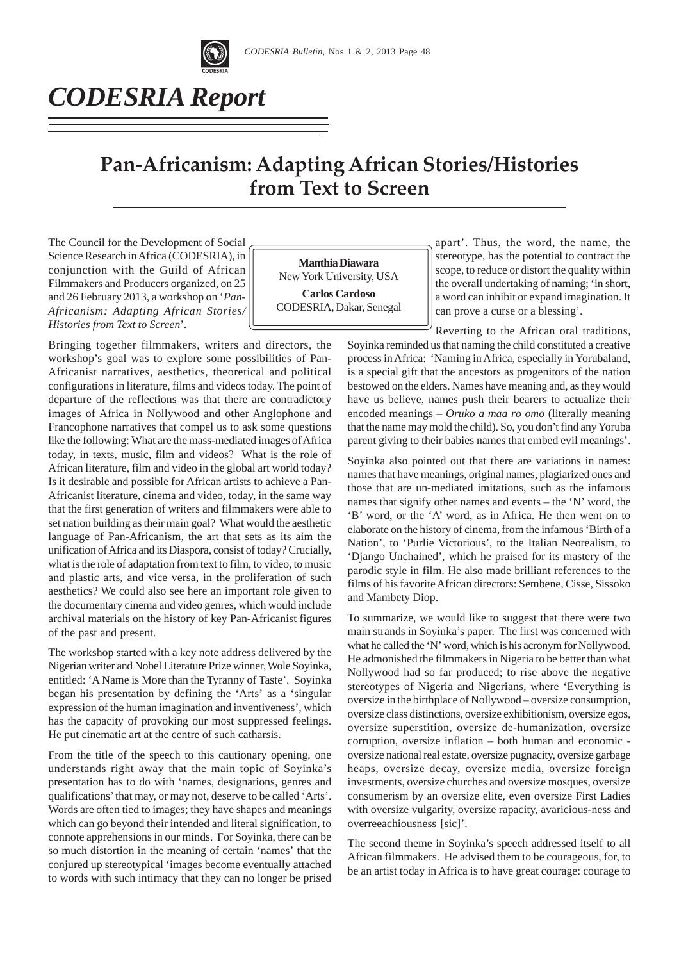

*CODESRIA Report*

# **Pan-Africanism: Adapting African Stories/Histories from Text to Screen**

The Council for the Development of Social Science Research in Africa (CODESRIA), in conjunction with the Guild of African Filmmakers and Producers organized, on 25 and 26 February 2013, a workshop on '*Pan-Africanism: Adapting African Stories/ Histories from Text to Screen*'*.*

Bringing together filmmakers, writers and directors, the workshop's goal was to explore some possibilities of Pan-Africanist narratives, aesthetics, theoretical and political configurations in literature, films and videos today. The point of departure of the reflections was that there are contradictory images of Africa in Nollywood and other Anglophone and Francophone narratives that compel us to ask some questions like the following: What are the mass-mediated images of Africa today, in texts, music, film and videos? What is the role of African literature, film and video in the global art world today? Is it desirable and possible for African artists to achieve a Pan-Africanist literature, cinema and video, today, in the same way that the first generation of writers and filmmakers were able to set nation building as their main goal? What would the aesthetic language of Pan-Africanism, the art that sets as its aim the unification of Africa and its Diaspora, consist of today? Crucially, what is the role of adaptation from text to film, to video, to music and plastic arts, and vice versa, in the proliferation of such aesthetics? We could also see here an important role given to the documentary cinema and video genres, which would include archival materials on the history of key Pan-Africanist figures of the past and present.

The workshop started with a key note address delivered by the Nigerian writer and Nobel Literature Prize winner, Wole Soyinka, entitled: 'A Name is More than the Tyranny of Taste'. Soyinka began his presentation by defining the 'Arts' as a 'singular expression of the human imagination and inventiveness', which has the capacity of provoking our most suppressed feelings. He put cinematic art at the centre of such catharsis.

From the title of the speech to this cautionary opening, one understands right away that the main topic of Soyinka's presentation has to do with 'names, designations, genres and qualifications' that may, or may not, deserve to be called 'Arts'. Words are often tied to images; they have shapes and meanings which can go beyond their intended and literal signification, to connote apprehensions in our minds. For Soyinka, there can be so much distortion in the meaning of certain 'names' that the conjured up stereotypical 'images become eventually attached to words with such intimacy that they can no longer be prised

**Manthia Diawara** New York University, USA **Carlos Cardoso** CODESRIA, Dakar, Senegal

apart'. Thus, the word, the name, the stereotype, has the potential to contract the scope, to reduce or distort the quality within the overall undertaking of naming; 'in short, a word can inhibit or expand imagination. It can prove a curse or a blessing'.

Reverting to the African oral traditions, Soyinka reminded us that naming the child constituted a creative process in Africa: 'Naming in Africa, especially in Yorubaland, is a special gift that the ancestors as progenitors of the nation bestowed on the elders. Names have meaning and, as they would have us believe, names push their bearers to actualize their encoded meanings – *Oruko a maa ro omo* (literally meaning that the name may mold the child). So, you don't find any Yoruba parent giving to their babies names that embed evil meanings'.

Soyinka also pointed out that there are variations in names: names that have meanings, original names, plagiarized ones and those that are un-mediated imitations, such as the infamous names that signify other names and events – the 'N' word, the 'B' word, or the 'A' word, as in Africa. He then went on to elaborate on the history of cinema, from the infamous 'Birth of a Nation', to 'Purlie Victorious', to the Italian Neorealism, to 'Django Unchained', which he praised for its mastery of the parodic style in film. He also made brilliant references to the films of his favorite African directors: Sembene, Cisse, Sissoko and Mambety Diop.

To summarize, we would like to suggest that there were two main strands in Soyinka's paper. The first was concerned with what he called the 'N' word, which is his acronym for Nollywood. He admonished the filmmakers in Nigeria to be better than what Nollywood had so far produced; to rise above the negative stereotypes of Nigeria and Nigerians, where 'Everything is oversize in the birthplace of Nollywood – oversize consumption, oversize class distinctions, oversize exhibitionism, oversize egos, oversize superstition, oversize de-humanization, oversize corruption, oversize inflation – both human and economic oversize national real estate, oversize pugnacity, oversize garbage heaps, oversize decay, oversize media, oversize foreign investments, oversize churches and oversize mosques, oversize consumerism by an oversize elite, even oversize First Ladies with oversize vulgarity, oversize rapacity, avaricious-ness and overreeachiousness [sic]'.

The second theme in Soyinka's speech addressed itself to all African filmmakers. He advised them to be courageous, for, to be an artist today in Africa is to have great courage: courage to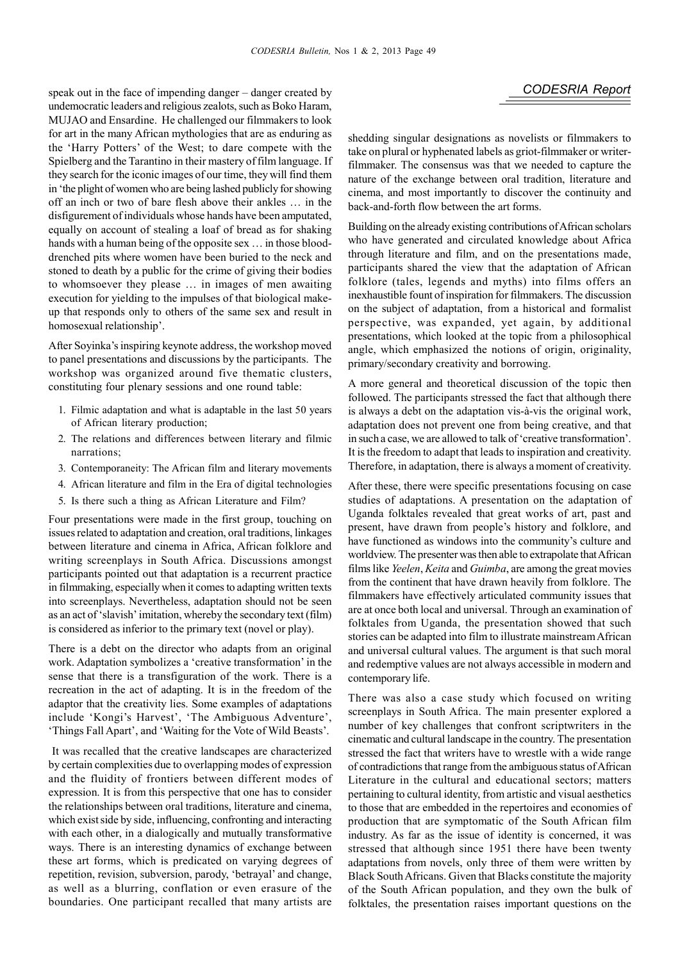speak out in the face of impending danger – danger created by **CODESRIA Report** undemocratic leaders and religious zealots, such as Boko Haram, MUJAO and Ensardine. He challenged our filmmakers to look for art in the many African mythologies that are as enduring as the 'Harry Potters' of the West; to dare compete with the Spielberg and the Tarantino in their mastery of film language. If they search for the iconic images of our time, they will find them in 'the plight of women who are being lashed publicly for showing off an inch or two of bare flesh above their ankles … in the disfigurement of individuals whose hands have been amputated, equally on account of stealing a loaf of bread as for shaking hands with a human being of the opposite sex ... in those blooddrenched pits where women have been buried to the neck and stoned to death by a public for the crime of giving their bodies to whomsoever they please … in images of men awaiting execution for yielding to the impulses of that biological makeup that responds only to others of the same sex and result in homosexual relationship'.

After Soyinka's inspiring keynote address, the workshop moved to panel presentations and discussions by the participants. The workshop was organized around five thematic clusters, constituting four plenary sessions and one round table:

- 1. Filmic adaptation and what is adaptable in the last 50 years of African literary production;
- 2. The relations and differences between literary and filmic narrations;
- 3. Contemporaneity: The African film and literary movements
- 4. African literature and film in the Era of digital technologies
- 5. Is there such a thing as African Literature and Film?

Four presentations were made in the first group, touching on issues related to adaptation and creation, oral traditions, linkages between literature and cinema in Africa, African folklore and writing screenplays in South Africa. Discussions amongst participants pointed out that adaptation is a recurrent practice in filmmaking, especially when it comes to adapting written texts into screenplays. Nevertheless, adaptation should not be seen as an act of 'slavish' imitation, whereby the secondary text (film) is considered as inferior to the primary text (novel or play).

There is a debt on the director who adapts from an original work. Adaptation symbolizes a 'creative transformation' in the sense that there is a transfiguration of the work. There is a recreation in the act of adapting. It is in the freedom of the adaptor that the creativity lies. Some examples of adaptations include 'Kongi's Harvest', 'The Ambiguous Adventure', 'Things Fall Apart', and 'Waiting for the Vote of Wild Beasts'.

 It was recalled that the creative landscapes are characterized by certain complexities due to overlapping modes of expression and the fluidity of frontiers between different modes of expression. It is from this perspective that one has to consider the relationships between oral traditions, literature and cinema, which exist side by side, influencing, confronting and interacting with each other, in a dialogically and mutually transformative ways. There is an interesting dynamics of exchange between these art forms, which is predicated on varying degrees of repetition, revision, subversion, parody, 'betrayal' and change, as well as a blurring, conflation or even erasure of the boundaries. One participant recalled that many artists are shedding singular designations as novelists or filmmakers to take on plural or hyphenated labels as griot-filmmaker or writerfilmmaker. The consensus was that we needed to capture the nature of the exchange between oral tradition, literature and cinema, and most importantly to discover the continuity and back-and-forth flow between the art forms.

Building on the already existing contributions of African scholars who have generated and circulated knowledge about Africa through literature and film, and on the presentations made, participants shared the view that the adaptation of African folklore (tales, legends and myths) into films offers an inexhaustible fount of inspiration for filmmakers. The discussion on the subject of adaptation, from a historical and formalist perspective, was expanded, yet again, by additional presentations, which looked at the topic from a philosophical angle, which emphasized the notions of origin, originality, primary/secondary creativity and borrowing.

A more general and theoretical discussion of the topic then followed. The participants stressed the fact that although there is always a debt on the adaptation vis-à-vis the original work, adaptation does not prevent one from being creative, and that in such a case, we are allowed to talk of 'creative transformation'. It is the freedom to adapt that leads to inspiration and creativity. Therefore, in adaptation, there is always a moment of creativity.

After these, there were specific presentations focusing on case studies of adaptations. A presentation on the adaptation of Uganda folktales revealed that great works of art, past and present, have drawn from people's history and folklore, and have functioned as windows into the community's culture and worldview. The presenter was then able to extrapolate that African films like *Yeelen*, *Keita* and *Guimba*, are among the great movies from the continent that have drawn heavily from folklore. The filmmakers have effectively articulated community issues that are at once both local and universal. Through an examination of folktales from Uganda, the presentation showed that such stories can be adapted into film to illustrate mainstream African and universal cultural values. The argument is that such moral and redemptive values are not always accessible in modern and contemporary life.

There was also a case study which focused on writing screenplays in South Africa. The main presenter explored a number of key challenges that confront scriptwriters in the cinematic and cultural landscape in the country. The presentation stressed the fact that writers have to wrestle with a wide range of contradictions that range from the ambiguous status of African Literature in the cultural and educational sectors; matters pertaining to cultural identity, from artistic and visual aesthetics to those that are embedded in the repertoires and economies of production that are symptomatic of the South African film industry. As far as the issue of identity is concerned, it was stressed that although since 1951 there have been twenty adaptations from novels, only three of them were written by Black South Africans. Given that Blacks constitute the majority of the South African population, and they own the bulk of folktales, the presentation raises important questions on the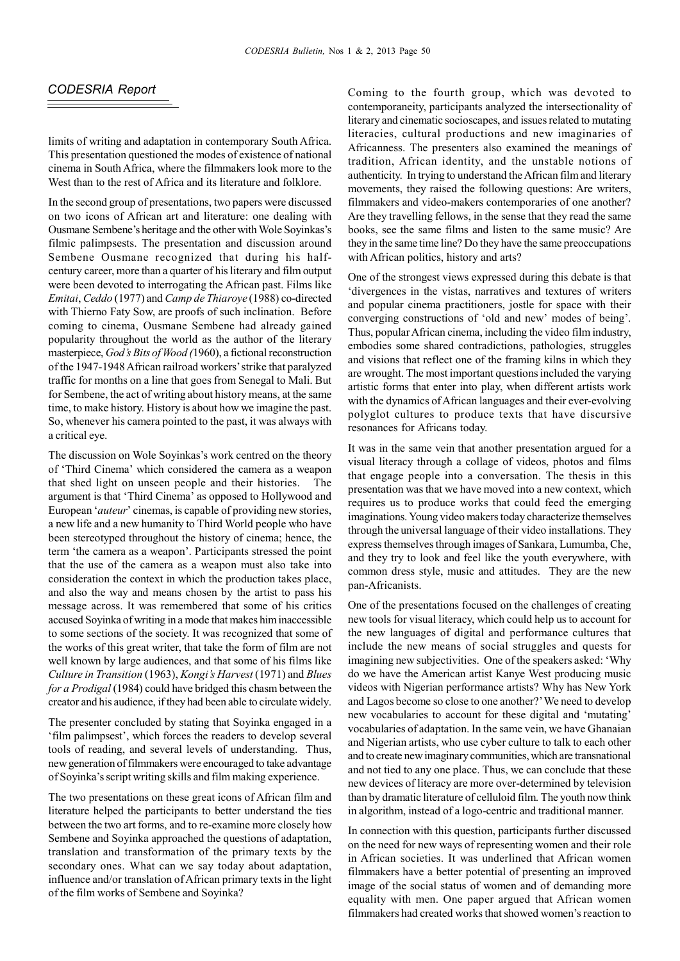### *CODESRIA Report*

limits of writing and adaptation in contemporary South Africa. This presentation questioned the modes of existence of national cinema in South Africa, where the filmmakers look more to the West than to the rest of Africa and its literature and folklore.

In the second group of presentations, two papers were discussed on two icons of African art and literature: one dealing with Ousmane Sembene's heritage and the other with Wole Soyinkas's filmic palimpsests. The presentation and discussion around Sembene Ousmane recognized that during his halfcentury career, more than a quarter of his literary and film output were been devoted to interrogating the African past. Films like *Emitai*, *Ceddo* (1977) and *Camp de Thiaroye* (1988) co-directed with Thierno Faty Sow, are proofs of such inclination. Before coming to cinema, Ousmane Sembene had already gained popularity throughout the world as the author of the literary masterpiece, *God's Bits of Wood (*1960), a fictional reconstruction of the 1947-1948 African railroad workers' strike that paralyzed traffic for months on a line that goes from Senegal to Mali. But for Sembene, the act of writing about history means, at the same time, to make history. History is about how we imagine the past. So, whenever his camera pointed to the past, it was always with a critical eye.

The discussion on Wole Soyinkas's work centred on the theory of 'Third Cinema' which considered the camera as a weapon that shed light on unseen people and their histories. The argument is that 'Third Cinema' as opposed to Hollywood and European '*auteur*' cinemas, is capable of providing new stories, a new life and a new humanity to Third World people who have been stereotyped throughout the history of cinema; hence, the term 'the camera as a weapon'. Participants stressed the point that the use of the camera as a weapon must also take into consideration the context in which the production takes place, and also the way and means chosen by the artist to pass his message across. It was remembered that some of his critics accused Soyinka of writing in a mode that makes him inaccessible to some sections of the society. It was recognized that some of the works of this great writer, that take the form of film are not well known by large audiences, and that some of his films like *Culture in Transition* (1963), *Kongi's Harvest* (1971) and *Blues for a Prodigal* (1984) could have bridged this chasm between the creator and his audience, if they had been able to circulate widely.

The presenter concluded by stating that Soyinka engaged in a 'film palimpsest', which forces the readers to develop several tools of reading, and several levels of understanding. Thus, new generation of filmmakers were encouraged to take advantage of Soyinka's script writing skills and film making experience.

The two presentations on these great icons of African film and literature helped the participants to better understand the ties between the two art forms, and to re-examine more closely how Sembene and Soyinka approached the questions of adaptation, translation and transformation of the primary texts by the secondary ones. What can we say today about adaptation, influence and/or translation of African primary texts in the light of the film works of Sembene and Soyinka?

Coming to the fourth group, which was devoted to contemporaneity, participants analyzed the intersectionality of literary and cinematic socioscapes, and issues related to mutating literacies, cultural productions and new imaginaries of Africanness. The presenters also examined the meanings of tradition, African identity, and the unstable notions of authenticity. In trying to understand the African film and literary movements, they raised the following questions: Are writers, filmmakers and video-makers contemporaries of one another? Are they travelling fellows, in the sense that they read the same books, see the same films and listen to the same music? Are they in the same time line? Do they have the same preoccupations with African politics, history and arts?

One of the strongest views expressed during this debate is that 'divergences in the vistas, narratives and textures of writers and popular cinema practitioners, jostle for space with their converging constructions of 'old and new' modes of being'. Thus, popular African cinema, including the video film industry, embodies some shared contradictions, pathologies, struggles and visions that reflect one of the framing kilns in which they are wrought. The most important questions included the varying artistic forms that enter into play, when different artists work with the dynamics of African languages and their ever-evolving polyglot cultures to produce texts that have discursive resonances for Africans today.

It was in the same vein that another presentation argued for a visual literacy through a collage of videos, photos and films that engage people into a conversation. The thesis in this presentation was that we have moved into a new context, which requires us to produce works that could feed the emerging imaginations. Young video makers today characterize themselves through the universal language of their video installations. They express themselves through images of Sankara, Lumumba, Che, and they try to look and feel like the youth everywhere, with common dress style, music and attitudes. They are the new pan-Africanists.

One of the presentations focused on the challenges of creating new tools for visual literacy, which could help us to account for the new languages of digital and performance cultures that include the new means of social struggles and quests for imagining new subjectivities. One of the speakers asked: 'Why do we have the American artist Kanye West producing music videos with Nigerian performance artists? Why has New York and Lagos become so close to one another?' We need to develop new vocabularies to account for these digital and 'mutating' vocabularies of adaptation. In the same vein, we have Ghanaian and Nigerian artists, who use cyber culture to talk to each other and to create new imaginary communities, which are transnational and not tied to any one place. Thus, we can conclude that these new devices of literacy are more over-determined by television than by dramatic literature of celluloid film. The youth now think in algorithm, instead of a logo-centric and traditional manner.

In connection with this question, participants further discussed on the need for new ways of representing women and their role in African societies. It was underlined that African women filmmakers have a better potential of presenting an improved image of the social status of women and of demanding more equality with men. One paper argued that African women filmmakers had created works that showed women's reaction to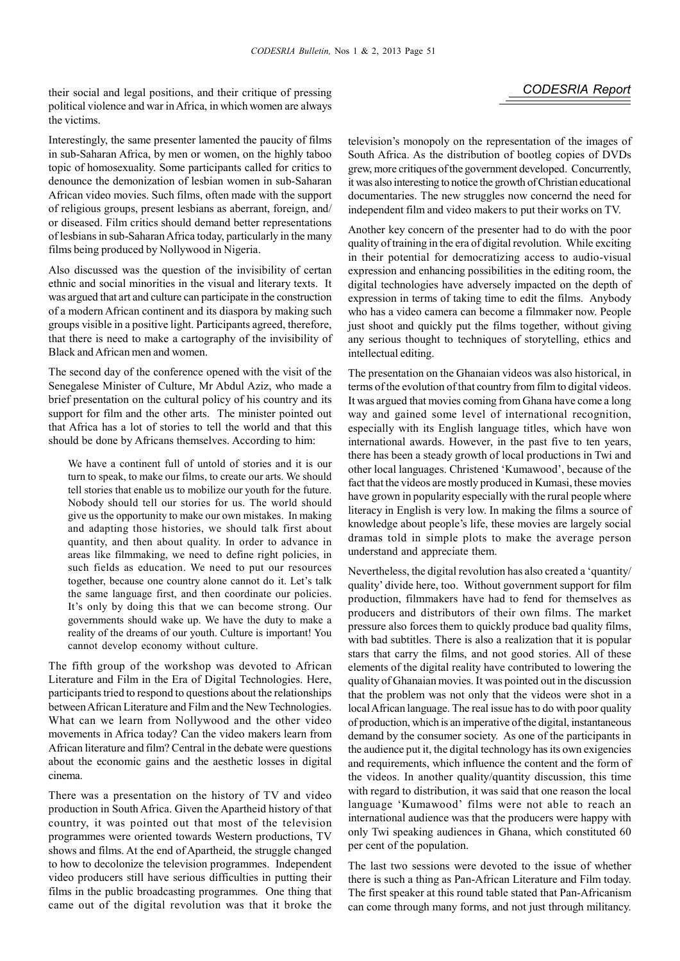their social and legal positions, and their critique of pressing **CODESRIA Report** political violence and war in Africa, in which women are always the victims.

Interestingly, the same presenter lamented the paucity of films in sub-Saharan Africa, by men or women, on the highly taboo topic of homosexuality. Some participants called for critics to denounce the demonization of lesbian women in sub-Saharan African video movies. Such films, often made with the support of religious groups, present lesbians as aberrant, foreign, and/ or diseased. Film critics should demand better representations of lesbians in sub-Saharan Africa today, particularly in the many films being produced by Nollywood in Nigeria.

Also discussed was the question of the invisibility of certan ethnic and social minorities in the visual and literary texts. It was argued that art and culture can participate in the construction of a modern African continent and its diaspora by making such groups visible in a positive light. Participants agreed, therefore, that there is need to make a cartography of the invisibility of Black and African men and women.

The second day of the conference opened with the visit of the Senegalese Minister of Culture, Mr Abdul Aziz, who made a brief presentation on the cultural policy of his country and its support for film and the other arts. The minister pointed out that Africa has a lot of stories to tell the world and that this should be done by Africans themselves. According to him:

We have a continent full of untold of stories and it is our turn to speak, to make our films, to create our arts. We should tell stories that enable us to mobilize our youth for the future. Nobody should tell our stories for us. The world should give us the opportunity to make our own mistakes. In making and adapting those histories, we should talk first about quantity, and then about quality. In order to advance in areas like filmmaking, we need to define right policies, in such fields as education. We need to put our resources together, because one country alone cannot do it. Let's talk the same language first, and then coordinate our policies. It's only by doing this that we can become strong. Our governments should wake up. We have the duty to make a reality of the dreams of our youth. Culture is important! You cannot develop economy without culture.

The fifth group of the workshop was devoted to African Literature and Film in the Era of Digital Technologies. Here, participants tried to respond to questions about the relationships between African Literature and Film and the New Technologies. What can we learn from Nollywood and the other video movements in Africa today? Can the video makers learn from African literature and film? Central in the debate were questions about the economic gains and the aesthetic losses in digital cinema.

There was a presentation on the history of TV and video production in South Africa. Given the Apartheid history of that country, it was pointed out that most of the television programmes were oriented towards Western productions, TV shows and films. At the end of Apartheid, the struggle changed to how to decolonize the television programmes. Independent video producers still have serious difficulties in putting their films in the public broadcasting programmes. One thing that came out of the digital revolution was that it broke the television's monopoly on the representation of the images of South Africa. As the distribution of bootleg copies of DVDs grew, more critiques of the government developed. Concurrently, it was also interesting to notice the growth of Christian educational documentaries. The new struggles now concernd the need for independent film and video makers to put their works on TV.

Another key concern of the presenter had to do with the poor quality of training in the era of digital revolution. While exciting in their potential for democratizing access to audio-visual expression and enhancing possibilities in the editing room, the digital technologies have adversely impacted on the depth of expression in terms of taking time to edit the films. Anybody who has a video camera can become a filmmaker now. People just shoot and quickly put the films together, without giving any serious thought to techniques of storytelling, ethics and intellectual editing.

The presentation on the Ghanaian videos was also historical, in terms of the evolution of that country from film to digital videos. It was argued that movies coming from Ghana have come a long way and gained some level of international recognition, especially with its English language titles, which have won international awards. However, in the past five to ten years, there has been a steady growth of local productions in Twi and other local languages. Christened 'Kumawood', because of the fact that the videos are mostly produced in Kumasi, these movies have grown in popularity especially with the rural people where literacy in English is very low. In making the films a source of knowledge about people's life, these movies are largely social dramas told in simple plots to make the average person understand and appreciate them.

Nevertheless, the digital revolution has also created a 'quantity/ quality' divide here, too. Without government support for film production, filmmakers have had to fend for themselves as producers and distributors of their own films. The market pressure also forces them to quickly produce bad quality films, with bad subtitles. There is also a realization that it is popular stars that carry the films, and not good stories. All of these elements of the digital reality have contributed to lowering the quality of Ghanaian movies. It was pointed out in the discussion that the problem was not only that the videos were shot in a local African language. The real issue has to do with poor quality of production, which is an imperative of the digital, instantaneous demand by the consumer society. As one of the participants in the audience put it, the digital technology has its own exigencies and requirements, which influence the content and the form of the videos. In another quality/quantity discussion, this time with regard to distribution, it was said that one reason the local language 'Kumawood' films were not able to reach an international audience was that the producers were happy with only Twi speaking audiences in Ghana, which constituted 60 per cent of the population.

The last two sessions were devoted to the issue of whether there is such a thing as Pan-African Literature and Film today. The first speaker at this round table stated that Pan-Africanism can come through many forms, and not just through militancy.